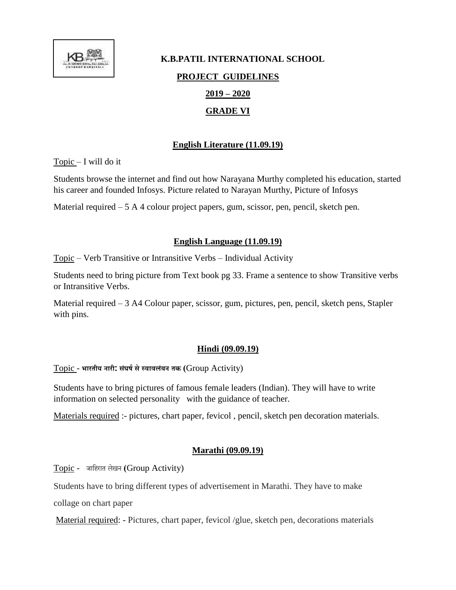

# **K.B.PATIL INTERNATIONAL SCHOOL PROJECT GUIDELINES 2019 – 2020 GRADE VI**

# **English Literature (11.09.19)**

 $Topic - I will do it$ 

Students browse the internet and find out how Narayana Murthy completed his education, started his career and founded Infosys. Picture related to Narayan Murthy, Picture of Infosys

Material required – 5 A 4 colour project papers, gum, scissor, pen, pencil, sketch pen.

#### **English Language (11.09.19)**

Topic – Verb Transitive or Intransitive Verbs – Individual Activity

Students need to bring picture from Text book pg 33. Frame a sentence to show Transitive verbs or Intransitive Verbs.

Material required – 3 A4 Colour paper, scissor, gum, pictures, pen, pencil, sketch pens, Stapler with pins.

## **Hindi (09.09.19)**

Topic - **भारतीय नारी: सघं र्षसेस्वावलंबन तक (**Group Activity)

Students have to bring pictures of famous female leaders (Indian). They will have to write information on selected personality with the guidance of teacher.

Materials required :- pictures, chart paper, fevicol , pencil, sketch pen decoration materials.

## **Marathi (09.09.19)**

Topic - जाहिरात लेखन **(**Group Activity)

Students have to bring different types of advertisement in Marathi. They have to make

collage on chart paper

Material required: - Pictures, chart paper, fevicol /glue, sketch pen, decorations materials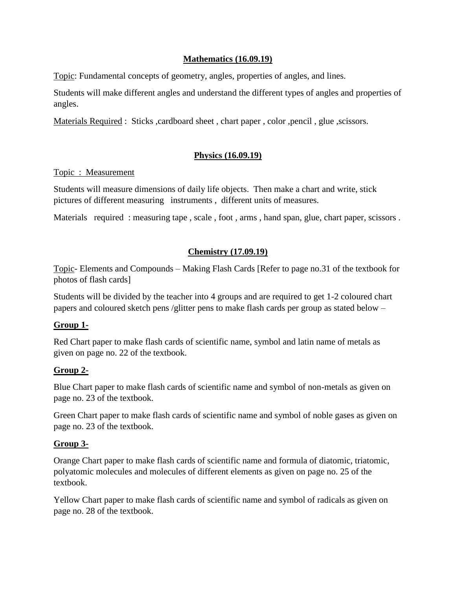#### **Mathematics (16.09.19)**

Topic: Fundamental concepts of geometry, angles, properties of angles, and lines.

Students will make different angles and understand the different types of angles and properties of angles.

Materials Required : Sticks , cardboard sheet, chart paper, color , pencil, glue, scissors.

# **Physics (16.09.19)**

#### Topic : Measurement

Students will measure dimensions of daily life objects. Then make a chart and write, stick pictures of different measuring instruments , different units of measures.

Materials required : measuring tape, scale, foot, arms, hand span, glue, chart paper, scissors.

## **Chemistry (17.09.19)**

Topic- Elements and Compounds – Making Flash Cards [Refer to page no.31 of the textbook for photos of flash cards]

Students will be divided by the teacher into 4 groups and are required to get 1-2 coloured chart papers and coloured sketch pens /glitter pens to make flash cards per group as stated below –

#### **Group 1-**

Red Chart paper to make flash cards of scientific name, symbol and latin name of metals as given on page no. 22 of the textbook.

#### **Group 2-**

Blue Chart paper to make flash cards of scientific name and symbol of non-metals as given on page no. 23 of the textbook.

Green Chart paper to make flash cards of scientific name and symbol of noble gases as given on page no. 23 of the textbook.

#### **Group 3-**

Orange Chart paper to make flash cards of scientific name and formula of diatomic, triatomic, polyatomic molecules and molecules of different elements as given on page no. 25 of the textbook.

Yellow Chart paper to make flash cards of scientific name and symbol of radicals as given on page no. 28 of the textbook.